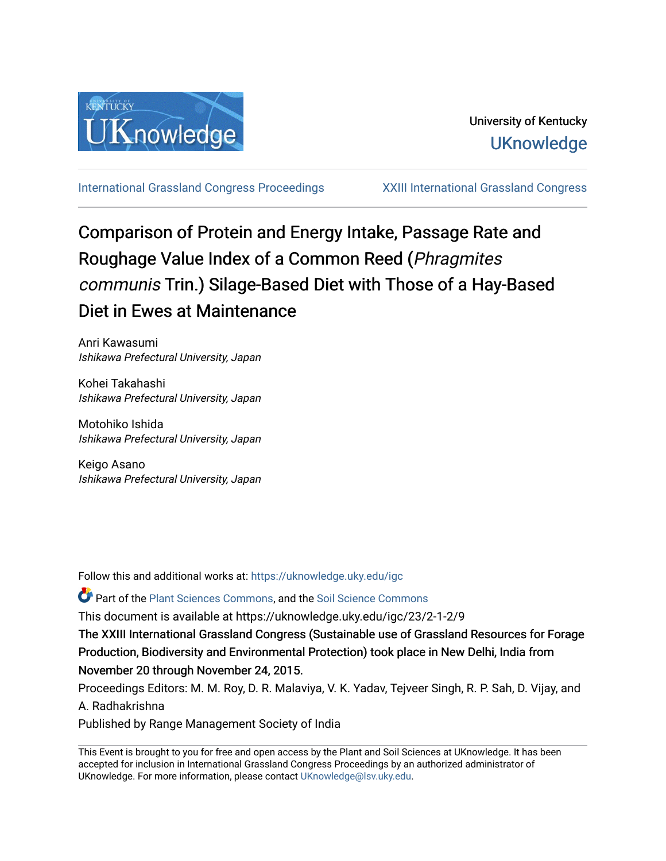

[International Grassland Congress Proceedings](https://uknowledge.uky.edu/igc) [XXIII International Grassland Congress](https://uknowledge.uky.edu/igc/23) 

# Comparison of Protein and Energy Intake, Passage Rate and Roughage Value Index of a Common Reed (Phragmites communis Trin.) Silage-Based Diet with Those of a Hay-Based Diet in Ewes at Maintenance

Anri Kawasumi Ishikawa Prefectural University, Japan

Kohei Takahashi Ishikawa Prefectural University, Japan

Motohiko Ishida Ishikawa Prefectural University, Japan

Keigo Asano Ishikawa Prefectural University, Japan

Follow this and additional works at: [https://uknowledge.uky.edu/igc](https://uknowledge.uky.edu/igc?utm_source=uknowledge.uky.edu%2Figc%2F23%2F2-1-2%2F9&utm_medium=PDF&utm_campaign=PDFCoverPages) 

**P** Part of the [Plant Sciences Commons](http://network.bepress.com/hgg/discipline/102?utm_source=uknowledge.uky.edu%2Figc%2F23%2F2-1-2%2F9&utm_medium=PDF&utm_campaign=PDFCoverPages), and the Soil Science Commons

This document is available at https://uknowledge.uky.edu/igc/23/2-1-2/9

The XXIII International Grassland Congress (Sustainable use of Grassland Resources for Forage Production, Biodiversity and Environmental Protection) took place in New Delhi, India from November 20 through November 24, 2015.

Proceedings Editors: M. M. Roy, D. R. Malaviya, V. K. Yadav, Tejveer Singh, R. P. Sah, D. Vijay, and A. Radhakrishna

Published by Range Management Society of India

This Event is brought to you for free and open access by the Plant and Soil Sciences at UKnowledge. It has been accepted for inclusion in International Grassland Congress Proceedings by an authorized administrator of UKnowledge. For more information, please contact [UKnowledge@lsv.uky.edu](mailto:UKnowledge@lsv.uky.edu).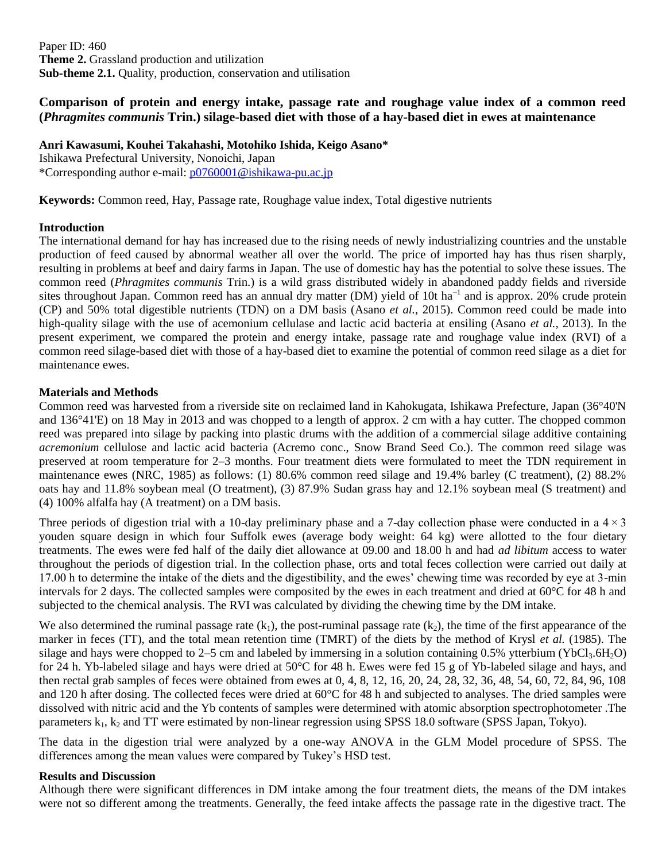Paper ID: 460 **Theme 2.** Grassland production and utilization **Sub-theme 2.1.** Quality, production, conservation and utilisation

## **Comparison of protein and energy intake, passage rate and roughage value index of a common reed (***Phragmites communis* **Trin.) silage-based diet with those of a hay-based diet in ewes at maintenance**

**Anri Kawasumi, Kouhei Takahashi, Motohiko Ishida, Keigo Asano\***

Ishikawa Prefectural University, Nonoichi, Japan \*Corresponding author e-mail: [p0760001@ishikawa-pu.ac.jp](mailto:p0760001@ishikawa-pu.ac.jp)

**Keywords:** Common reed, Hay, Passage rate, Roughage value index, Total digestive nutrients

### **Introduction**

The international demand for hay has increased due to the rising needs of newly industrializing countries and the unstable production of feed caused by abnormal weather all over the world. The price of imported hay has thus risen sharply, resulting in problems at beef and dairy farms in Japan. The use of domestic hay has the potential to solve these issues. The common reed (*Phragmites communis* Trin.) is a wild grass distributed widely in abandoned paddy fields and riverside sites throughout Japan. Common reed has an annual dry matter (DM) yield of 10t ha<sup>-1</sup> and is approx. 20% crude protein (CP) and 50% total digestible nutrients (TDN) on a DM basis (Asano *et al.,* 2015). Common reed could be made into high-quality silage with the use of acemonium cellulase and lactic acid bacteria at ensiling (Asano *et al.,* 2013). In the present experiment, we compared the protein and energy intake, passage rate and roughage value index (RVI) of a common reed silage-based diet with those of a hay-based diet to examine the potential of common reed silage as a diet for maintenance ewes.

## **Materials and Methods**

Common reed was harvested from a riverside site on reclaimed land in Kahokugata, Ishikawa Prefecture, Japan (36°40'N and 136°41'E) on 18 May in 2013 and was chopped to a length of approx. 2 cm with a hay cutter. The chopped common reed was prepared into silage by packing into plastic drums with the addition of a commercial silage additive containing *acremonium* cellulose and lactic acid bacteria (Acremo conc., Snow Brand Seed Co.). The common reed silage was preserved at room temperature for 2–3 months. Four treatment diets were formulated to meet the TDN requirement in maintenance ewes (NRC, 1985) as follows: (1) 80.6% common reed silage and 19.4% barley (C treatment), (2) 88.2% oats hay and 11.8% soybean meal (O treatment), (3) 87.9% Sudan grass hay and 12.1% soybean meal (S treatment) and (4) 100% alfalfa hay (A treatment) on a DM basis.

Three periods of digestion trial with a 10-day preliminary phase and a 7-day collection phase were conducted in a  $4 \times 3$ youden square design in which four Suffolk ewes (average body weight: 64 kg) were allotted to the four dietary treatments. The ewes were fed half of the daily diet allowance at 09.00 and 18.00 h and had *ad libitum* access to water throughout the periods of digestion trial. In the collection phase, orts and total feces collection were carried out daily at 17.00 h to determine the intake of the diets and the digestibility, and the ewes' chewing time was recorded by eye at 3-min intervals for 2 days. The collected samples were composited by the ewes in each treatment and dried at 60°C for 48 h and subjected to the chemical analysis. The RVI was calculated by dividing the chewing time by the DM intake.

We also determined the ruminal passage rate  $(k_1)$ , the post-ruminal passage rate  $(k_2)$ , the time of the first appearance of the marker in feces (TT), and the total mean retention time (TMRT) of the diets by the method of Krysl *et al.* (1985). The silage and hays were chopped to  $2-5$  cm and labeled by immersing in a solution containing 0.5% ytterbium (YbCl<sub>3</sub>.6H<sub>2</sub>O) for 24 h. Yb-labeled silage and hays were dried at 50°C for 48 h. Ewes were fed 15 g of Yb-labeled silage and hays, and then rectal grab samples of feces were obtained from ewes at 0, 4, 8, 12, 16, 20, 24, 28, 32, 36, 48, 54, 60, 72, 84, 96, 108 and 120 h after dosing. The collected feces were dried at 60°C for 48 h and subjected to analyses. The dried samples were dissolved with nitric acid and the Yb contents of samples were determined with atomic absorption spectrophotometer .The parameters  $k_1$ ,  $k_2$  and TT were estimated by non-linear regression using SPSS 18.0 software (SPSS Japan, Tokyo).

The data in the digestion trial were analyzed by a one-way ANOVA in the GLM Model procedure of SPSS. The differences among the mean values were compared by Tukey's HSD test.

### **Results and Discussion**

Although there were significant differences in DM intake among the four treatment diets, the means of the DM intakes were not so different among the treatments. Generally, the feed intake affects the passage rate in the digestive tract. The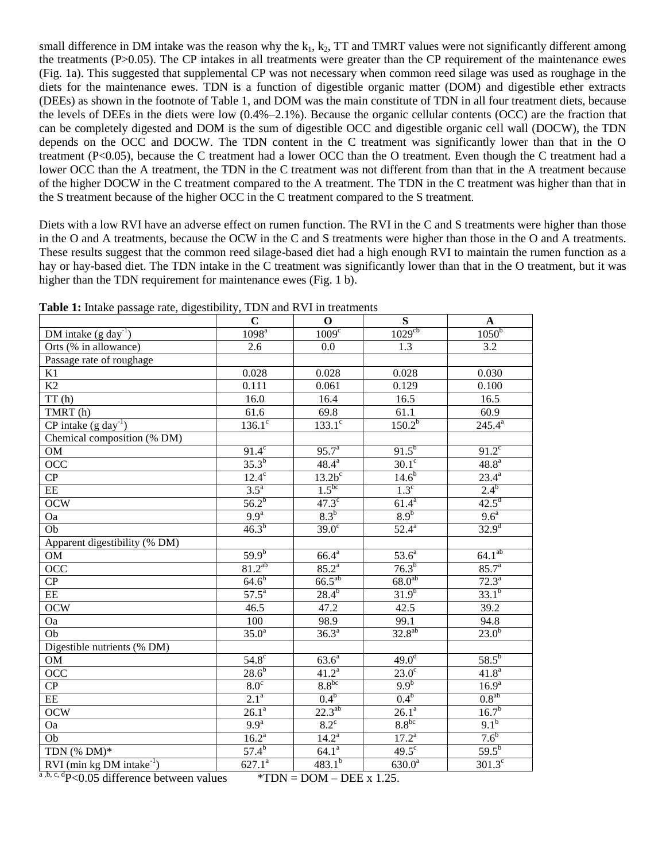small difference in DM intake was the reason why the  $k_1$ ,  $k_2$ , TT and TMRT values were not significantly different among the treatments (P>0.05). The CP intakes in all treatments were greater than the CP requirement of the maintenance ewes (Fig. 1a). This suggested that supplemental CP was not necessary when common reed silage was used as roughage in the diets for the maintenance ewes. TDN is a function of digestible organic matter (DOM) and digestible ether extracts (DEEs) as shown in the footnote of Table 1, and DOM was the main constitute of TDN in all four treatment diets, because the levels of DEEs in the diets were low  $(0.4\%-2.1\%)$ . Because the organic cellular contents (OCC) are the fraction that can be completely digested and DOM is the sum of digestible OCC and digestible organic cell wall (DOCW), the TDN depends on the OCC and DOCW. The TDN content in the C treatment was significantly lower than that in the O treatment (P<0.05), because the C treatment had a lower OCC than the O treatment. Even though the C treatment had a lower OCC than the A treatment, the TDN in the C treatment was not different from than that in the A treatment because of the higher DOCW in the C treatment compared to the A treatment. The TDN in the C treatment was higher than that in the S treatment because of the higher OCC in the C treatment compared to the S treatment.

Diets with a low RVI have an adverse effect on rumen function. The RVI in the C and S treatments were higher than those in the O and A treatments, because the OCW in the C and S treatments were higher than those in the O and A treatments. These results suggest that the common reed silage-based diet had a high enough RVI to maintain the rumen function as a hay or hay-based diet. The TDN intake in the C treatment was significantly lower than that in the O treatment, but it was higher than the TDN requirement for maintenance ewes (Fig. 1 b).

|                                         | $\mathbf C$         | $\mathbf 0$         | ${\bf S}$             | $\mathbf A$          |
|-----------------------------------------|---------------------|---------------------|-----------------------|----------------------|
| DM intake $(g \text{ day}^{-1})$        | 1098 <sup>a</sup>   | 1009 <sup>c</sup>   | $1029$ <sup>cb</sup>  | 1050 <sup>b</sup>    |
| Orts (% in allowance)                   | 2.6                 | 0.0                 | 1.3                   | 3.2                  |
| Passage rate of roughage                |                     |                     |                       |                      |
| K1                                      | 0.028               | 0.028               | 0.028                 | 0.030                |
| $\overline{K2}$                         | 0.111               | 0.061               | 0.129                 | 0.100                |
| TT(h)                                   | 16.0                | 16.4                | 16.5                  | 16.5                 |
| TMRT(h)                                 | 61.6                | 69.8                | 61.1                  | 60.9                 |
| $CP$ intake (g day <sup>-1</sup> )      | $136.1^\circ$       | $133.1^\circ$       | $150.2^{b}$           | $245.4^{a}$          |
| Chemical composition (% DM)             |                     |                     |                       |                      |
| OM                                      | $91.4^c$            | 95.7 <sup>a</sup>   | $91.5^{b}$            | $91.2^{\circ}$       |
| OCC                                     | $35.3^{b}$          | $48.4^{\rm a}$      | $30.1^\circ$          | 48.8 <sup>a</sup>    |
| $\overline{CP}$                         | $12.4^\circ$        | $13.2b^c$           | $14.6^{b}$            | $23.4^{\mathrm{a}}$  |
| EE                                      | $3.5^{\circ}$       | $1.5^{bc}$          | $1.3^\circ$           | $2.4^{b}$            |
| <b>OCW</b>                              | $56.2^{b}$          | $47.3^\circ$        | $61.4^{a}$            | $42.5^{\rm d}$       |
| Oa                                      | 9.9 <sup>a</sup>    | 8.3 <sup>b</sup>    | 8.9 <sup>b</sup>      | 9.6 <sup>a</sup>     |
| Ob                                      | $46.3^{b}$          | $\overline{39.0^c}$ | $52.4^{\circ}$        | $32.9^{d}$           |
| Apparent digestibility (% DM)           |                     |                     |                       |                      |
| OM                                      | $59.9^{b}$          | $66.4^{\rm a}$      | $53.6^{a}$            | $64.1^{ab}$          |
| $\overline{OCC}$                        | $81.2^{ab}$         | $85.2^{a}$          | $76.3^{b}$            | $85.7^{a}$           |
| $\overline{CP}$                         | $64.6^{b}$          | $66.5^{ab}$         | $68.0^{ab}$           | $72.3^{a}$           |
| EE                                      | $57.5^{\circ}$      | $28.4^{b}$          | $31.9^{b}$            | $33.1^{b}$           |
| OCW                                     | 46.5                | 47.2                | 42.5                  | 39.2                 |
| Oa                                      | 100                 | 98.9                | 99.1                  | 94.8                 |
| $\overline{Ob}$                         | $35.0^{\circ}$      | $36.3^{a}$          | $32.8^{ab}$           | $23.0^{b}$           |
| Digestible nutrients (% DM)             |                     |                     |                       |                      |
| OM                                      | $54.8^\circ$        | 63.6 <sup>a</sup>   | 49.0 <sup>d</sup>     | $58.5^{b}$           |
| OCC                                     | $28.6^{b}$          | $41.2^a$            | $23.0^{\overline{c}}$ | $41.8^{a}$           |
| $\overline{CP}$                         | $8.0^\circ$         | $8.8^{bc}$          | 9.9 <sup>b</sup>      | $16.9^{a}$           |
| EE                                      | 2.1 <sup>a</sup>    | 0.4 <sup>b</sup>    | 0.4 <sup>b</sup>      | $0.8^{ab}$           |
| <b>OCW</b>                              | $\overline{26.1^a}$ | $22.3^{ab}$         | $\overline{26.1^a}$   | $\frac{16.7^{b}}{2}$ |
| Oa                                      | 9.9 <sup>a</sup>    | $8.2^{\circ}$       | $8.8^{bc}$            | 9.1 <sup>b</sup>     |
| Ob                                      | $16.2^{\circ}$      | $14.2^{\circ}$      | $17.2^{\circ}$        | 7.6 <sup>b</sup>     |
| TDN $(\%$ DM)*                          | $57.4^{b}$          | $64.1^a$            | $49.5^\circ$          | $59.5^{b}$           |
| $RVI$ (min kg DM intake <sup>-1</sup> ) | $627.1^{a}$         | $483.1^{b}$         | $630.0^{a}$           | $301.3^\circ$        |

**Table 1:** Intake passage rate, digestibility, TDN and RVI in treatments

<sup>a,b, c, d</sup>P<0.05 difference between values \*TDN = DOM – DEE x 1.25.